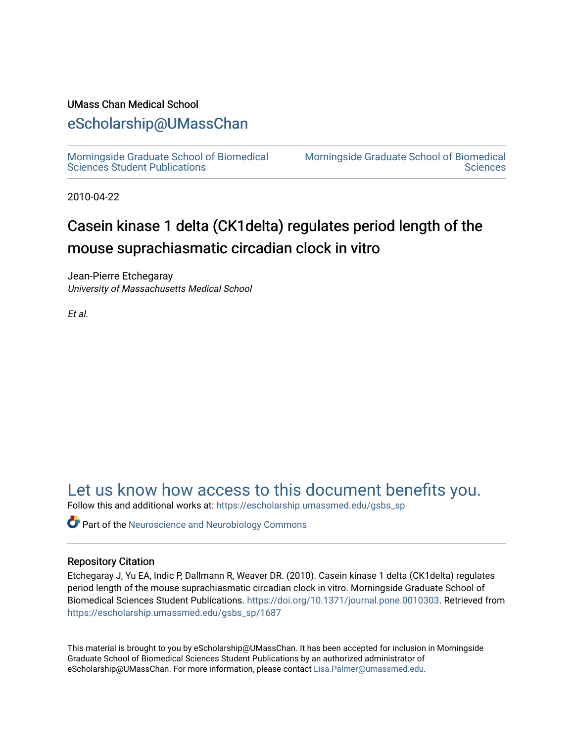## UMass Chan Medical School

## [eScholarship@UMassChan](https://escholarship.umassmed.edu/)

[Morningside Graduate School of Biomedical](https://escholarship.umassmed.edu/gsbs_sp)  [Sciences Student Publications](https://escholarship.umassmed.edu/gsbs_sp) 

[Morningside Graduate School of Biomedical](https://escholarship.umassmed.edu/gsbs)  **Sciences** 

2010-04-22

# Casein kinase 1 delta (CK1delta) regulates period length of the mouse suprachiasmatic circadian clock in vitro

Jean-Pierre Etchegaray University of Massachusetts Medical School

Et al.

[Let us know how access to this document benefits you.](https://arcsapps.umassmed.edu/redcap/surveys/?s=XWRHNF9EJE) 

Follow this and additional works at: [https://escholarship.umassmed.edu/gsbs\\_sp](https://escholarship.umassmed.edu/gsbs_sp?utm_source=escholarship.umassmed.edu%2Fgsbs_sp%2F1687&utm_medium=PDF&utm_campaign=PDFCoverPages)

**C** Part of the Neuroscience and Neurobiology Commons

## Repository Citation

Etchegaray J, Yu EA, Indic P, Dallmann R, Weaver DR. (2010). Casein kinase 1 delta (CK1delta) regulates period length of the mouse suprachiasmatic circadian clock in vitro. Morningside Graduate School of Biomedical Sciences Student Publications. [https://doi.org/10.1371/journal.pone.0010303.](https://doi.org/10.1371/journal.pone.0010303) Retrieved from [https://escholarship.umassmed.edu/gsbs\\_sp/1687](https://escholarship.umassmed.edu/gsbs_sp/1687?utm_source=escholarship.umassmed.edu%2Fgsbs_sp%2F1687&utm_medium=PDF&utm_campaign=PDFCoverPages) 

This material is brought to you by eScholarship@UMassChan. It has been accepted for inclusion in Morningside Graduate School of Biomedical Sciences Student Publications by an authorized administrator of eScholarship@UMassChan. For more information, please contact [Lisa.Palmer@umassmed.edu](mailto:Lisa.Palmer@umassmed.edu).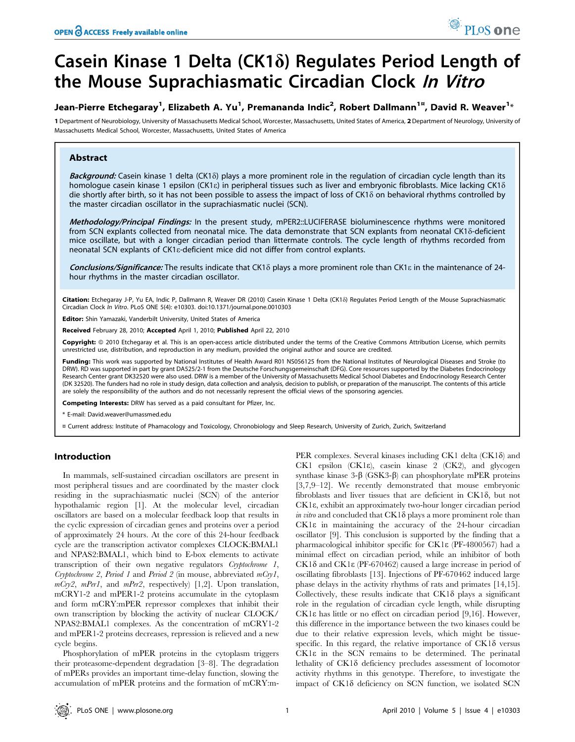# Casein Kinase 1 Delta (CK1 $\delta$ ) Regulates Period Length of the Mouse Suprachiasmatic Circadian Clock In Vitro

## Jean-Pierre Etchegaray<sup>1</sup>, Elizabeth A. Yu<sup>1</sup>, Premananda Indic<sup>2</sup>, Robert Dallmann<sup>1¤</sup>, David R. Weaver<sup>1</sup>\*

1 Department of Neurobiology, University of Massachusetts Medical School, Worcester, Massachusetts, United States of America, 2 Department of Neurology, University of Massachusetts Medical School, Worcester, Massachusetts, United States of America

### Abstract

Background: Casein kinase 1 delta (CK1 $\delta$ ) plays a more prominent role in the regulation of circadian cycle length than its homologue casein kinase 1 epsilon (CK1 $\varepsilon$ ) in peripheral tissues such as liver and embryonic fibroblasts. Mice lacking CK1 $\delta$ die shortly after birth, so it has not been possible to assess the impact of loss of CK18 on behavioral rhythms controlled by the master circadian oscillator in the suprachiasmatic nuclei (SCN).

Methodology/Principal Findings: In the present study, mPER2::LUCIFERASE bioluminescence rhythms were monitored from SCN explants collected from neonatal mice. The data demonstrate that SCN explants from neonatal CK1 $\delta$ -deficient mice oscillate, but with a longer circadian period than littermate controls. The cycle length of rhythms recorded from neonatal SCN explants of CK1e-deficient mice did not differ from control explants.

Conclusions/Significance: The results indicate that CK1 $\delta$  plays a more prominent role than CK1 $\epsilon$  in the maintenance of 24hour rhythms in the master circadian oscillator.

Citation: Etchegaray J-P, Yu EA, Indic P, Dallmann R, Weaver DR (2010) Casein Kinase 1 Delta (CK1 $\delta$ ) Regulates Period Length of the Mouse Suprachiasmatic Circadian Clock In Vitro. PLoS ONE 5(4): e10303. doi:10.1371/journal.pone.0010303

Editor: Shin Yamazaki, Vanderbilt University, United States of America

Received February 28, 2010; Accepted April 1, 2010; Published April 22, 2010

**Copyright:** © 2010 Etchegaray et al. This is an open-access article distributed under the terms of the Creative Commons Attribution License, which permits unrestricted use, distribution, and reproduction in any medium, provided the original author and source are credited.

Funding: This work was supported by National Institutes of Health Award R01 NS056125 from the National Institutes of Neurological Diseases and Stroke (to DRW). RD was supported in part by grant DA525/2-1 from the Deutsche Forschungsgemeinschaft (DFG). Core resources supported by the Diabetes Endocrinology Research Center grant DK32520 were also used. DRW is a member of the University of Massachusetts Medical School Diabetes and Endocrinology Research Center (DK 32520). The funders had no role in study design, data collection and analysis, decision to publish, or preparation of the manuscript. The contents of this article are solely the responsibility of the authors and do not necessarily represent the official views of the sponsoring agencies.

Competing Interests: DRW has served as a paid consultant for Pfizer, Inc.

\* E-mail: David.weaver@umassmed.edu

¤ Current address: Institute of Phamacology and Toxicology, Chronobiology and Sleep Research, University of Zurich, Zurich, Switzerland

#### Introduction

In mammals, self-sustained circadian oscillators are present in most peripheral tissues and are coordinated by the master clock residing in the suprachiasmatic nuclei (SCN) of the anterior hypothalamic region [1]. At the molecular level, circadian oscillators are based on a molecular feedback loop that results in the cyclic expression of circadian genes and proteins over a period of approximately 24 hours. At the core of this 24-hour feedback cycle are the transcription activator complexes CLOCK:BMAL1 and NPAS2:BMAL1, which bind to E-box elements to activate transcription of their own negative regulators Cryptochrome 1, Cryptochrome 2, Period 1 and Period 2 (in mouse, abbreviated mCry1,  $mCry2$ ,  $mPer1$ , and  $mPer2$ , respectively) [1,2]. Upon translation, mCRY1-2 and mPER1-2 proteins accumulate in the cytoplasm and form mCRY:mPER repressor complexes that inhibit their own transcription by blocking the activity of nuclear CLOCK/ NPAS2:BMAL1 complexes. As the concentration of mCRY1-2 and mPER1-2 proteins decreases, repression is relieved and a new cycle begins.

Phosphorylation of mPER proteins in the cytoplasm triggers their proteasome-dependent degradation [3–8]. The degradation of mPERs provides an important time-delay function, slowing the accumulation of mPER proteins and the formation of mCRY:mPER complexes. Several kinases including CK1 delta (CK1 $\delta$ ) and CK1 epsilon (CK1e), casein kinase 2 (CK2), and glycogen synthase kinase  $3-\beta$  (GSK3- $\beta$ ) can phosphorylate mPER proteins [3,7,9–12]. We recently demonstrated that mouse embryonic fibroblasts and liver tissues that are deficient in  $CK1\delta$ , but not CK1e, exhibit an approximately two-hour longer circadian period in vitro and concluded that  $CK1\delta$  plays a more prominent role than CK1e in maintaining the accuracy of the 24-hour circadian oscillator [9]. This conclusion is supported by the finding that a pharmacological inhibitor specific for CK1e (PF-4800567) had a minimal effect on circadian period, while an inhibitor of both CK1d and CK1e (PF-670462) caused a large increase in period of oscillating fibroblasts [13]. Injections of PF-670462 induced large phase delays in the activity rhythms of rats and primates [14,15]. Collectively, these results indicate that  $CK1\delta$  plays a significant role in the regulation of circadian cycle length, while disrupting CK1e has little or no effect on circadian period [9,16]. However, this difference in the importance between the two kinases could be due to their relative expression levels, which might be tissuespecific. In this regard, the relative importance of  $CK1\delta$  versus CK1e in the SCN remains to be determined. The perinatal lethality of CK18 deficiency precludes assessment of locomotor activity rhythms in this genotype. Therefore, to investigate the impact of  $CK1\delta$  deficiency on SCN function, we isolated SCN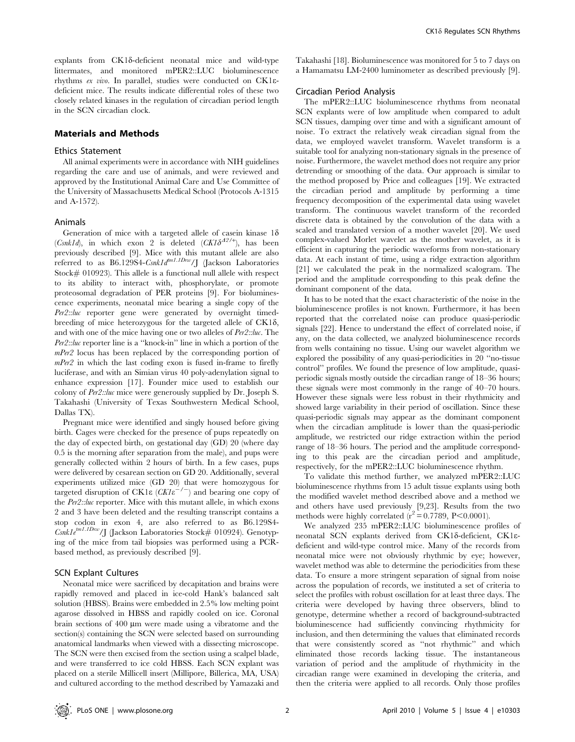$explands$  from  $CK1\delta$ -deficient neonatal mice and wild-type littermates, and monitored mPER2::LUC bioluminescence rhythms ex vivo. In parallel, studies were conducted on CK1edeficient mice. The results indicate differential roles of these two closely related kinases in the regulation of circadian period length in the SCN circadian clock.

### Materials and Methods

#### Ethics Statement

All animal experiments were in accordance with NIH guidelines regarding the care and use of animals, and were reviewed and approved by the Institutional Animal Care and Use Committee of the University of Massachusetts Medical School (Protocols A-1315 and A-1572).

#### Animals

Generation of mice with a targeted allele of casein kinase  $1\delta$ (Csnk1d), in which exon 2 is deleted (CK1 $\delta^{A2/t}$ ), has been previously described [9]. Mice with this mutant allele are also previously described [3]. where will discussed model in the direct referred to as  $B6.129S4\text{-}Csnkld^{m1.1Dnv}/J$  (Jackson Laboratories Stock# 010923). This allele is a functional null allele with respect to its ability to interact with, phosphorylate, or promote proteosomal degradation of PER proteins [9]. For bioluminescence experiments, neonatal mice bearing a single copy of the Per2::luc reporter gene were generated by overnight timedbreeding of mice heterozygous for the targeted allele of  $CK1\delta$ , and with one of the mice having one or two alleles of *Per2::luc*. The Per2::luc reporter line is a ''knock-in'' line in which a portion of the mPer2 locus has been replaced by the corresponding portion of mPer2 in which the last coding exon is fused in-frame to firefly luciferase, and with an Simian virus 40 poly-adenylation signal to enhance expression [17]. Founder mice used to establish our colony of Per2::luc mice were generously supplied by Dr. Joseph S. Takahashi (University of Texas Southwestern Medical School, Dallas TX).

Pregnant mice were identified and singly housed before giving birth. Cages were checked for the presence of pups repeatedly on the day of expected birth, on gestational day (GD) 20 (where day 0.5 is the morning after separation from the male), and pups were generally collected within 2 hours of birth. In a few cases, pups were delivered by cesarean section on GD 20. Additionally, several experiments utilized mice (GD 20) that were homozygous for targeted disruption of CK1 $\varepsilon$  (CK1 $\varepsilon^{-/-}$ ) and bearing one copy of the Per2::luc reporter. Mice with this mutant allele, in which exons 2 and 3 have been deleted and the resulting transcript contains a stop codon in exon 4, are also referred to as B6.129S4-  $Csnkle^{im1.1Dnv}/J$  (Jackson Laboratories Stock# 010924). Genotyping of the mice from tail biopsies was performed using a PCRbased method, as previously described [9].

#### SCN Explant Cultures

Neonatal mice were sacrificed by decapitation and brains were rapidly removed and placed in ice-cold Hank's balanced salt solution (HBSS). Brains were embedded in 2.5% low melting point agarose dissolved in HBSS and rapidly cooled on ice. Coronal brain sections of  $400 \mu m$  were made using a vibratome and the section(s) containing the SCN were selected based on surrounding anatomical landmarks when viewed with a dissecting microscope. The SCN were then excised from the section using a scalpel blade, and were transferred to ice cold HBSS. Each SCN explant was placed on a sterile Millicell insert (Millipore, Billerica, MA, USA) and cultured according to the method described by Yamazaki and

Takahashi [18]. Bioluminescence was monitored for 5 to 7 days on a Hamamatsu LM-2400 luminometer as described previously [9].

#### Circadian Period Analysis

The mPER2::LUC bioluminescence rhythms from neonatal SCN explants were of low amplitude when compared to adult SCN tissues, damping over time and with a significant amount of noise. To extract the relatively weak circadian signal from the data, we employed wavelet transform. Wavelet transform is a suitable tool for analyzing non-stationary signals in the presence of noise. Furthermore, the wavelet method does not require any prior detrending or smoothing of the data. Our approach is similar to the method proposed by Price and colleagues [19]. We extracted the circadian period and amplitude by performing a time frequency decomposition of the experimental data using wavelet transform. The continuous wavelet transform of the recorded discrete data is obtained by the convolution of the data with a scaled and translated version of a mother wavelet [20]. We used complex-valued Morlet wavelet as the mother wavelet, as it is efficient in capturing the periodic waveforms from non-stationary data. At each instant of time, using a ridge extraction algorithm [21] we calculated the peak in the normalized scalogram. The period and the amplitude corresponding to this peak define the dominant component of the data.

It has to be noted that the exact characteristic of the noise in the bioluminescence profiles is not known. Furthermore, it has been reported that the correlated noise can produce quasi-periodic signals [22]. Hence to understand the effect of correlated noise, if any, on the data collected, we analyzed bioluminescence records from wells containing no tissue. Using our wavelet algorithm we explored the possibility of any quasi-periodicities in 20 ''no-tissue control'' profiles. We found the presence of low amplitude, quasiperiodic signals mostly outside the circadian range of 18–36 hours; these signals were most commonly in the range of 40–70 hours. However these signals were less robust in their rhythmicity and showed large variability in their period of oscillation. Since these quasi-periodic signals may appear as the dominant component when the circadian amplitude is lower than the quasi-periodic amplitude, we restricted our ridge extraction within the period range of 18–36 hours. The period and the amplitude corresponding to this peak are the circadian period and amplitude, respectively, for the mPER2::LUC bioluminescence rhythm.

To validate this method further, we analyzed mPER2::LUC bioluminescence rhythms from 15 adult tissue explants using both the modified wavelet method described above and a method we and others have used previously [9,23]. Results from the two methods were highly correlated  $(r^2 = 0.7789, P \le 0.0001)$ .

We analyzed 235 mPER2::LUC bioluminescence profiles of neonatal SCN explants derived from CK18-deficient, CK18deficient and wild-type control mice. Many of the records from neonatal mice were not obviously rhythmic by eye; however, wavelet method was able to determine the periodicities from these data. To ensure a more stringent separation of signal from noise across the population of records, we instituted a set of criteria to select the profiles with robust oscillation for at least three days. The criteria were developed by having three observers, blind to genotype, determine whether a record of background-subtracted bioluminescence had sufficiently convincing rhythmicity for inclusion, and then determining the values that eliminated records that were consistently scored as ''not rhythmic'' and which eliminated those records lacking tissue. The instantaneous variation of period and the amplitude of rhythmicity in the circadian range were examined in developing the criteria, and then the criteria were applied to all records. Only those profiles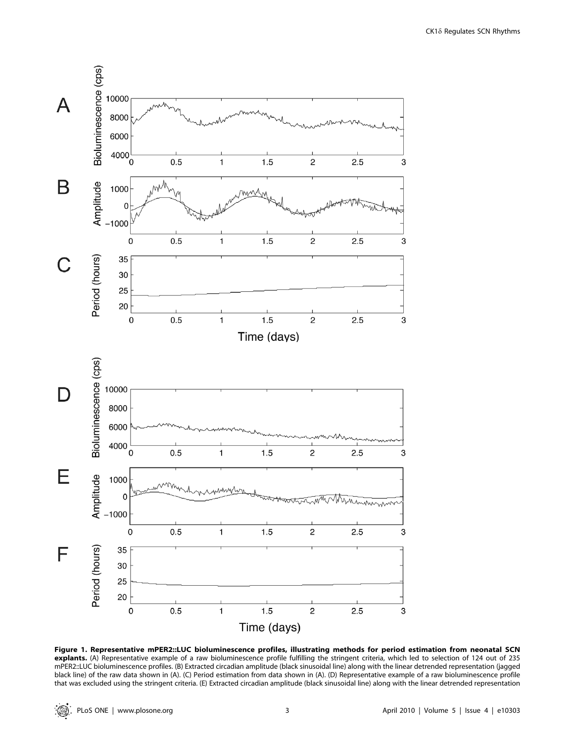

Figure 1. Representative mPER2::LUC bioluminescence profiles, illustrating methods for period estimation from neonatal SCN explants. (A) Representative example of a raw bioluminescence profile fulfilling the stringent criteria, which led to selection of 124 out of 235 mPER2::LUC bioluminescence profiles. (B) Extracted circadian amplitude (black sinusoidal line) along with the linear detrended representation (jagged black line) of the raw data shown in (A). (C) Period estimation from data shown in (A). (D) Representative example of a raw bioluminescence profile that was excluded using the stringent criteria. (E) Extracted circadian amplitude (black sinusoidal line) along with the linear detrended representation

 $\circledR$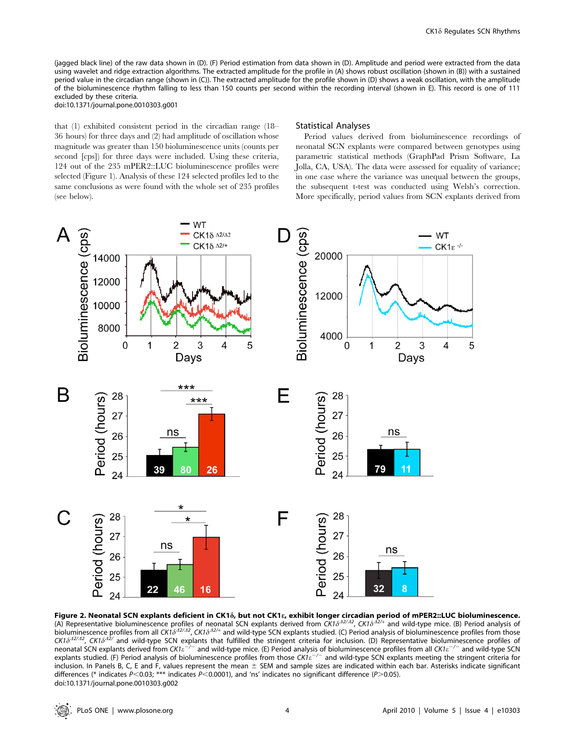(jagged black line) of the raw data shown in (D). (F) Period estimation from data shown in (D). Amplitude and period were extracted from the data using wavelet and ridge extraction algorithms. The extracted amplitude for the profile in (A) shows robust oscillation (shown in (B)) with a sustained period value in the circadian range (shown in (C)). The extracted amplitude for the profile shown in (D) shows a weak oscillation, with the amplitude of the bioluminescence rhythm falling to less than 150 counts per second within the recording interval (shown in E). This record is one of 111 excluded by these criteria. doi:10.1371/journal.pone.0010303.g001

that (1) exhibited consistent period in the circadian range (18– 36 hours) for three days and (2) had amplitude of oscillation whose magnitude was greater than 150 bioluminescence units (counts per second [cps]) for three days were included. Using these criteria, 124 out of the 235 mPER2::LUC bioluminescence profiles were selected (Figure 1). Analysis of these 124 selected profiles led to the same conclusions as were found with the whole set of 235 profiles (see below).

#### Statistical Analyses

Period values derived from bioluminescence recordings of neonatal SCN explants were compared between genotypes using parametric statistical methods (GraphPad Prism Software, La Jolla, CA, USA). The data were assessed for equality of variance; in one case where the variance was unequal between the groups, the subsequent t-test was conducted using Welsh's correction. More specifically, period values from SCN explants derived from



Fi**gure 2. Neonatal SCN explants deficient in CK1**8**, but not CK18, exhibit longer circadian period of mPER2::LUC bioluminescence.<br>(A) Representative bioluminescence profiles of neonatal SCN explants derived from CK1\delta^{42** bioluminescence profiles from all CK1 $\delta^{A2/A}$ , CK1 $\delta^{A2/A}$  and wild-type SCN explants studied. (C) Period analysis of bioluminescence profiles from those  $CK1\delta^{22/42}$ , CK1 $\delta^{42}$  and wild-type SCN explants that fulfilled the stringent criteria for inclusion. (D) Representative bioluminescence profiles of neonatal SCN explants derived from CK1 $e^{-/-}$  and wild-type mice. (E) Period analysis of bioluminescence profiles from all CK1 $e^{-/-}$  and wild-type SCN explants studied. (F) Period analysis of bioluminescence profiles from those  $C K i \varepsilon^{-/-}$  and wild-type SCN explants meeting the stringent criteria for inclusion. In Panels B, C, E and F, values represent the mean  $\pm$  SEM and sample sizes are indicated within each bar. Asterisks indicate significant differences (\* indicates P<0.03; \*\*\* indicates P<0.0001), and 'ns' indicates no significant difference (P>0.05). doi:10.1371/journal.pone.0010303.g002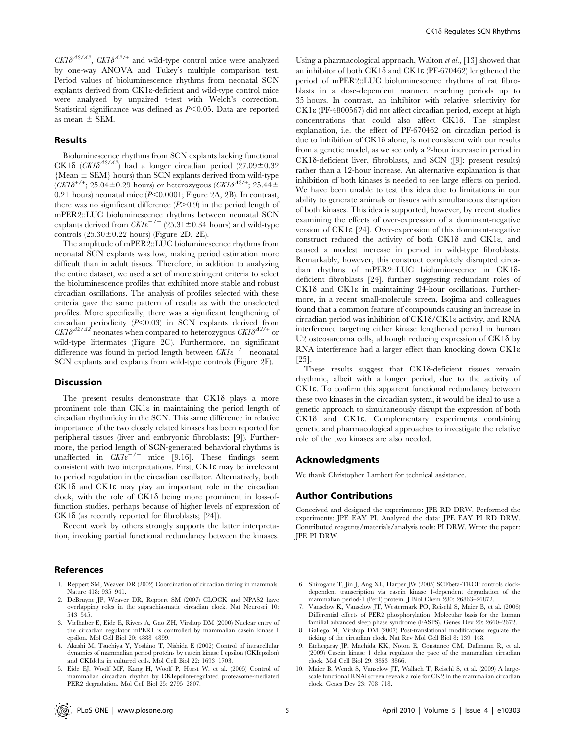$CK1\delta^{A2/A2}$ ,  $CK1\delta^{A2/+}$  and wild-type control mice were analyzed by one-way ANOVA and Tukey's multiple comparison test. Period values of bioluminescence rhythms from neonatal SCN explants derived from CK1e-deficient and wild-type control mice were analyzed by unpaired t-test with Welch's correction. Statistical significance was defined as  $P<0.05$ . Data are reported as mean  $\pm$  SEM.

#### Results

Bioluminescence rhythms from SCN explants lacking functional CK18 (CK18<sup>42/42</sup>) had a longer circadian period (27.09±0.32  ${Mean \pm SEM}$  hours) than SCN explants derived from wild-type  $(CK1\delta^{+/+}; 25.04\pm0.29$  hours) or heterozygous  $(CK1\delta^{42/+}; 25.44\pm0.29)$ 0.21 hours) neonatal mice  $(P<0.0001$ ; Figure 2A, 2B). In contrast, there was no significant difference  $(P>0.9)$  in the period length of mPER2::LUC bioluminescence rhythms between neonatal SCN explants derived from  $\mathit{CKIe}^{-/-}$  (25.31±0.34 hours) and wild-type controls  $(25.30 \pm 0.22$  hours) (Figure 2D, 2E).

The amplitude of mPER2::LUC bioluminescence rhythms from neonatal SCN explants was low, making period estimation more difficult than in adult tissues. Therefore, in addition to analyzing the entire dataset, we used a set of more stringent criteria to select the bioluminescence profiles that exhibited more stable and robust circadian oscillations. The analysis of profiles selected with these criteria gave the same pattern of results as with the unselected profiles. More specifically, there was a significant lengthening of circadian periodicity  $(P<0.03)$  in SCN explants derived from  $CK1\delta^{A2/A2}$  neonates when compared to heterozygous  $CK1\delta^{A2/+}$  or wild-type littermates (Figure 2C). Furthermore, no significant difference was found in period length between  $CK1\varepsilon^{-/-}$  neonatal SCN explants and explants from wild-type controls (Figure 2F).

#### Discussion

The present results demonstrate that  $CK1\delta$  plays a more prominent role than CK1e in maintaining the period length of circadian rhythmicity in the SCN. This same difference in relative importance of the two closely related kinases has been reported for peripheral tissues (liver and embryonic fibroblasts; [9]). Furthermore, the period length of SCN-generated behavioral rhythms is unaffected in  $CKI\ddot{e}^{-/-}$  mice [9,16]. These findings seem consistent with two interpretations. First, CK1e may be irrelevant to period regulation in the circadian oscillator. Alternatively, both  $CK1\delta$  and  $CK1\epsilon$  may play an important role in the circadian clock, with the role of  $CK1\delta$  being more prominent in loss-offunction studies, perhaps because of higher levels of expression of  $CK1\delta$  (as recently reported for fibroblasts; [24]).

Recent work by others strongly supports the latter interpretation, invoking partial functional redundancy between the kinases.

#### References

- 1. Reppert SM, Weaver DR (2002) Coordination of circadian timing in mammals. Nature 418: 935–941.
- 2. DeBruyne JP, Weaver DR, Reppert SM (2007) CLOCK and NPAS2 have overlapping roles in the suprachiasmatic circadian clock. Nat Neurosci 10: 543–545.
- 3. Vielhaber E, Eide E, Rivers A, Gao ZH, Virshup DM (2000) Nuclear entry of the circadian regulator mPER1 is controlled by mammalian casein kinase I epsilon. Mol Cell Biol 20: 4888–4899.
- 4. Akashi M, Tsuchiya Y, Yoshino T, Nishida E (2002) Control of intracellular dynamics of mammalian period proteins by casein kinase I epsilon (CKIepsilon) and CKIdelta in cultured cells. Mol Cell Biol 22: 1693–1703.
- 5. Eide EJ, Woolf MF, Kang H, Woolf P, Hurst W, et al. (2005) Control of mammalian circadian rhythm by CKIepsilon-regulated proteasome-mediated PER2 degradation. Mol Cell Biol 25: 2795–2807.

Using a pharmacological approach, Walton et al., [13] showed that an inhibitor of both CK1 $\delta$  and CK1 $\epsilon$  (PF-670462) lengthened the period of mPER2::LUC bioluminescence rhythms of rat fibroblasts in a dose-dependent manner, reaching periods up to 35 hours. In contrast, an inhibitor with relative selectivity for CK1e (PF-4800567) did not affect circadian period, except at high  $concentrations$  that could also affect  $CK1\delta$ . The simplest explanation, i.e. the effect of PF-670462 on circadian period is due to inhibition of  $CK1\delta$  alone, is not consistent with our results from a genetic model, as we see only a 2-hour increase in period in  $CK1\delta$ -deficient liver, fibroblasts, and SCN ([9]; present results) rather than a 12-hour increase. An alternative explanation is that inhibition of both kinases is needed to see large effects on period. We have been unable to test this idea due to limitations in our ability to generate animals or tissues with simultaneous disruption of both kinases. This idea is supported, however, by recent studies examining the effects of over-expression of a dominant-negative version of CK1e [24]. Over-expression of this dominant-negative construct reduced the activity of both  $CK1\delta$  and  $CK1\epsilon$ , and caused a modest increase in period in wild-type fibroblasts. Remarkably, however, this construct completely disrupted circadian rhythms of mPER2::LUC bioluminescence in CK1ddeficient fibroblasts [24], further suggesting redundant roles of  $CK1\delta$  and  $CK1\epsilon$  in maintaining 24-hour oscillations. Furthermore, in a recent small-molecule screen, Isojima and colleagues found that a common feature of compounds causing an increase in circadian period was inhibition of  $CK1\delta/CK1\epsilon$  activity, and RNA interference targeting either kinase lengthened period in human U2 osteosarcoma cells, although reducing expression of  $CK1\delta$  by RNA interference had a larger effect than knocking down CK1e [25].

These results suggest that CK18-deficient tissues remain rhythmic, albeit with a longer period, due to the activity of CK1e. To confirm this apparent functional redundancy between these two kinases in the circadian system, it would be ideal to use a genetic approach to simultaneously disrupt the expression of both CK18 and CK1 $\varepsilon$ . Complementary experiments combining genetic and pharmacological approaches to investigate the relative role of the two kinases are also needed.

#### Acknowledgments

We thank Christopher Lambert for technical assistance.

#### Author Contributions

Conceived and designed the experiments: JPE RD DRW. Performed the experiments: JPE EAY PI. Analyzed the data: JPE EAY PI RD DRW. Contributed reagents/materials/analysis tools: PI DRW. Wrote the paper: JPE PI DRW.

- 6. Shirogane T, Jin J, Ang XL, Harper JW (2005) SCFbeta-TRCP controls clockdependent transcription via casein kinase 1-dependent degradation of the mammalian period-1 (Per1) protein. J Biol Chem 280: 26863–26872.
- 7. Vanselow K, Vanselow JT, Westermark PO, Reischl S, Maier B, et al. (2006) Differential effects of PER2 phosphorylation: Molecular basis for the human familial advanced sleep phase syndrome (FASPS). Genes Dev 20: 2660–2672.
- 8. Gallego M, Virshup DM (2007) Post-translational modifications regulate the ticking of the circadian clock. Nat Rev Mol Cell Biol 8: 139–148.
- 9. Etchegaray JP, Machida KK, Noton E, Constance CM, Dallmann R, et al. (2009) Casein kinase 1 delta regulates the pace of the mammalian circadian clock. Mol Cell Biol 29: 3853–3866.
- 10. Maier B, Wendt S, Vanselow JT, Wallach T, Reischl S, et al. (2009) A largescale functional RNAi screen reveals a role for CK2 in the mammalian circadian clock. Genes Dev 23: 708–718.